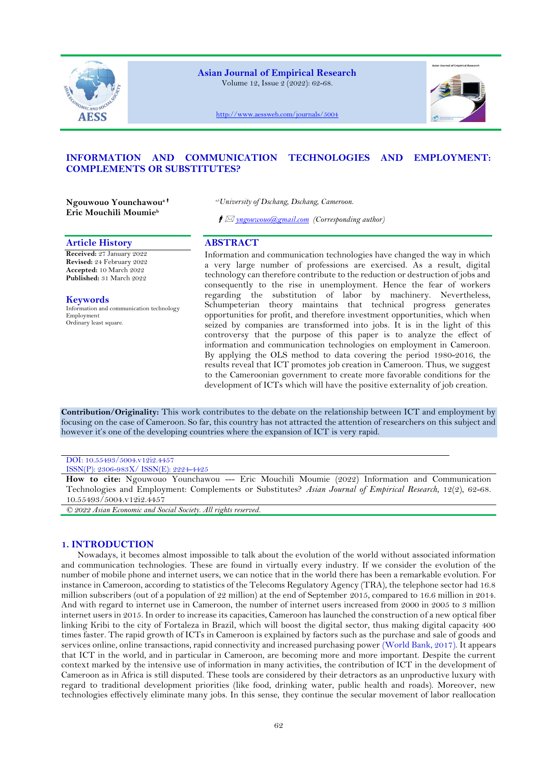

# **Asian Journal of Empirical Research**

Volume 12, Issue 2 (2022): 62-68.



<http://www.aessweb.com/journals/5004>

# **INFORMATION AND COMMUNICATION TECHNOLOGIES AND EMPLOYMENT: COMPLEMENTS OR SUBSTITUTES?**

**Ngouwouo Younchawoua Eric Mouchili Moumie<sup>b</sup>**

# **Article History ABSTRACT**

**Received:** 27 January 2022 **Revised:** 24 February 2022 **Accepted:** 10 March 2022 **Published:** 31 March 2022

# **Keywords**

Information and communication technology Employment Ordinary least square.

*a,bUniversity of Dschang, Dschang, Cameroon.*

*[yngouwouo@gmail.com](mailto:yngouwouo@gmail.com) (Corresponding author)*

Information and communication technologies have changed the way in which a very large number of professions are exercised. As a result, digital technology can therefore contribute to the reduction or destruction of jobs and consequently to the rise in unemployment. Hence the fear of workers regarding the substitution of labor by machinery. Nevertheless, Schumpeterian theory maintains that technical progress generates opportunities for profit, and therefore investment opportunities, which when seized by companies are transformed into jobs. It is in the light of this controversy that the purpose of this paper is to analyze the effect of information and communication technologies on employment in Cameroon. By applying the OLS method to data covering the period 1980-2016, the results reveal that ICT promotes job creation in Cameroon. Thus, we suggest to the Cameroonian government to create more favorable conditions for the development of ICTs which will have the positive externality of job creation.

**Contribution/Originality:** This work contributes to the debate on the relationship between ICT and employment by focusing on the case of Cameroon. So far, this country has not attracted the attention of researchers on this subject and however it's one of the developing countries where the expansion of ICT is very rapid.

# DOI: 10.55493/5004.v12i2.4457

ISSN(P): 2306-983X/ ISSN(E): 2224-4425

**How to cite:** Ngouwouo Younchawou --- Eric Mouchili Moumie (2022) Information and Communication Technologies and Employment: Complements or Substitutes? *Asian Journal of Empirical Research*, 12(2), 62-68. 10.55493/5004.v12i2.4457

*© 2022 Asian Economic and Social Society. All rights reserved.*

# **1. INTRODUCTION**

Nowadays, it becomes almost impossible to talk about the evolution of the world without associated information and communication technologies. These are found in virtually every industry. If we consider the evolution of the number of mobile phone and internet users, we can notice that in the world there has been a remarkable evolution. For instance in Cameroon, according to statistics of the Telecoms Regulatory Agency (TRA), the telephone sector had 16.8 million subscribers (out of a population of 22 million) at the end of September 2015, compared to 16.6 million in 2014. And with regard to internet use in Cameroon, the number of internet users increased from 2000 in 2005 to 3 million internet users in 2015. In order to increase its capacities, Cameroon has launched the construction of a new optical fiber linking Kribi to the city of Fortaleza in Brazil, which will boost the digital sector, thus making digital capacity 400 times faster. The rapid growth of ICTs in Cameroon is explained by factors such as the purchase and sale of goods and services online, online transactions, rapid connectivity and increased purchasing power [\(World Bank, 2017\)](#page-6-0). It appears that ICT in the world, and in particular in Cameroon, are becoming more and more important. Despite the current context marked by the intensive use of information in many activities, the contribution of ICT in the development of Cameroon as in Africa is still disputed. These tools are considered by their detractors as an unproductive luxury with regard to traditional development priorities (like food, drinking water, public health and roads). Moreover, new technologies effectively eliminate many jobs. In this sense, they continue the secular movement of labor reallocation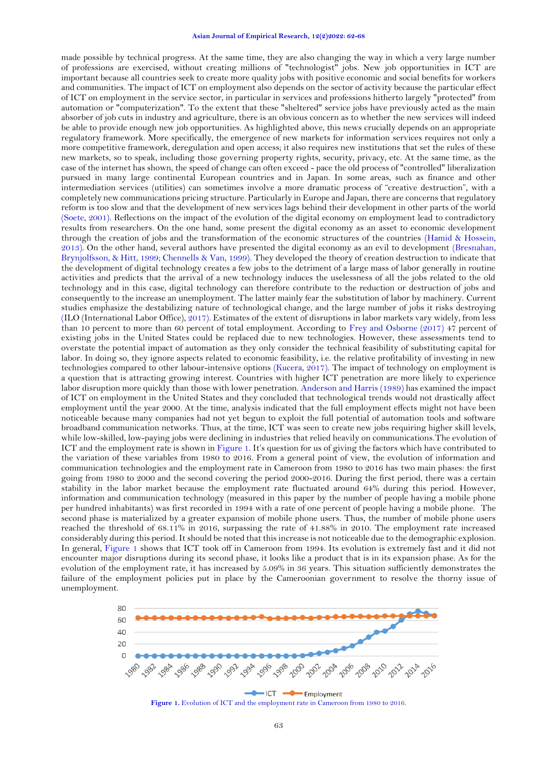#### **Asian Journal of Empirical Research, 12(2)2022: 62-68**

made possible by technical progress. At the same time, they are also changing the way in which a very large number of professions are exercised, without creating millions of "technologist" jobs. New job opportunities in ICT are important because all countries seek to create more quality jobs with positive economic and social benefits for workers and communities. The impact of ICT on employment also depends on the sector of activity because the particular effect of ICT on employment in the service sector, in particular in services and professions hitherto largely "protected" from automation or "computerization". To the extent that these "sheltered" service jobs have previously acted as the main absorber of job cuts in industry and agriculture, there is an obvious concern as to whether the new services will indeed be able to provide enough new job opportunities. As highlighted above, this news crucially depends on an appropriate regulatory framework. More specifically, the emergence of new markets for information services requires not only a more competitive framework, deregulation and open access; it also requires new institutions that set the rules of these new markets, so to speak, including those governing property rights, security, privacy, etc. At the same time, as the case of the internet has shown, the speed of change can often exceed - pace the old process of "controlled" liberalization pursued in many large continental European countries and in Japan. In some areas, such as finance and other intermediation services (utilities) can sometimes involve a more dramatic process of "creative destruction", with a completely new communications pricing structure. Particularly in Europe and Japan, there are concerns that regulatory reform is too slow and that the development of new services lags behind their development in other parts of the world [\(Soete, 2001\)](#page-6-1). Reflections on the impact of the evolution of the digital economy on employment lead to contradictory results from researchers. On the one hand, some present the digital economy as an asset to economic development through the creation of jobs and the transformation of the economic structures of the countries [\(Hamid & Hossein,](#page-6-2)  [2013\)](#page-6-2). On the other hand, several authors have presented the digital economy as an evil to development [\(Bresnahan,](#page-5-0)  [Brynjolfsson, & Hitt, 1999;](#page-5-0) [Chennells & Van, 1999\)](#page-5-1). They developed the theory of creation destruction to indicate that the development of digital technology creates a few jobs to the detriment of a large mass of labor generally in routine activities and predicts that the arrival of a new technology induces the uselessness of all the jobs related to the old technology and in this case, digital technology can therefore contribute to the reduction or destruction of jobs and consequently to the increase an unemployment. The latter mainly fear the substitution of labor by machinery. Current studies emphasize the destabilizing nature of technological change, and the large number of jobs it risks destroying [\(ILO \(International Labor Office\), 2017\)](#page-6-3). Estimates of the extent of disruptions in labor markets vary widely, from less than 10 percent to more than 60 percent of total employment. According to [Frey and Osborne \(2017\)](#page-6-4) 47 percent of existing jobs in the United States could be replaced due to new technologies. However, these assessments tend to overstate the potential impact of automation as they only consider the technical feasibility of substituting capital for labor. In doing so, they ignore aspects related to economic feasibility, i.e. the relative profitability of investing in new technologies compared to other labour-intensive options [\(Kucera, 2017\)](#page-6-5). The impact of technology on employment is a question that is attracting growing interest. Countries with higher ICT penetration are more likely to experience labor disruption more quickly than those with lower penetration[. Anderson and Harris \(1989\)](#page-5-2) has examined the impact of ICT on employment in the United States and they concluded that technological trends would not drastically affect employment until the year 2000. At the time, analysis indicated that the full employment effects might not have been noticeable because many companies had not yet begun to exploit the full potential of automation tools and software broadband communication networks. Thus, at the time, ICT was seen to create new jobs requiring higher skill levels, while low-skilled, low-paying jobs were declining in industries that relied heavily on communications.The evolution of ICT and the employment rate is shown in [Figure 1](#page-1-0). It's question for us of giving the factors which have contributed to the variation of these variables from 1980 to 2016. From a general point of view, the evolution of information and communication technologies and the employment rate in Cameroon from 1980 to 2016 has two main phases: the first going from 1980 to 2000 and the second covering the period 2000-2016. During the first period, there was a certain stability in the labor market because the employment rate fluctuated around 64% during this period. However, information and communication technology (measured in this paper by the number of people having a mobile phone per hundred inhabitants) was first recorded in 1994 with a rate of one percent of people having a mobile phone. The second phase is materialized by a greater expansion of mobile phone users. Thus, the number of mobile phone users reached the threshold of 68.11% in 2016, surpassing the rate of 41.88% in 2010. The employment rate increased considerably during this period. It should be noted that this increase is not noticeable due to the demographic explosion. In general, [Figure 1](#page-1-0) shows that ICT took off in Cameroon from 1994. Its evolution is extremely fast and it did not encounter major disruptions during its second phase, it looks like a product that is in its expansion phase. As for the evolution of the employment rate, it has increased by 5.09% in 36 years. This situation sufficiently demonstrates the failure of the employment policies put in place by the Cameroonian government to resolve the thorny issue of unemployment.



<span id="page-1-0"></span>**Figure 1.** Evolution of ICT and the employment rate in Cameroon from 1980 to 2016.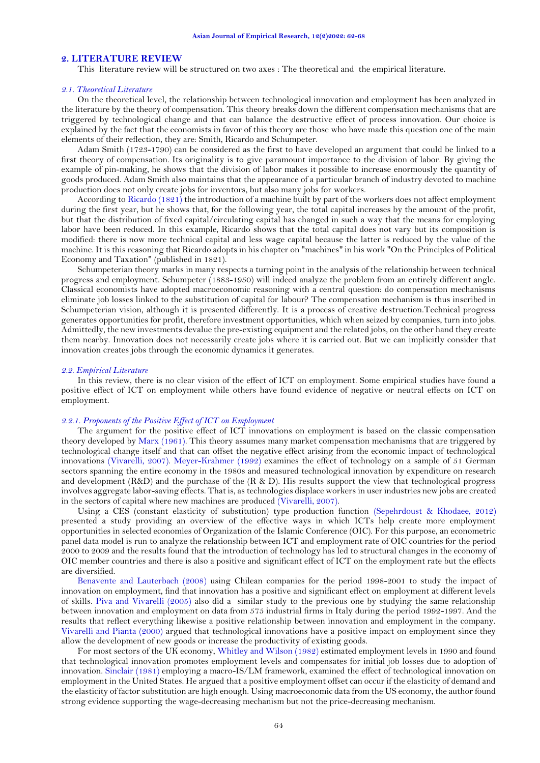## **2. LITERATURE REVIEW**

This literature review will be structured on two axes : The theoretical and the empirical literature.

#### *2.1. Theoretical Literature*

On the theoretical level, the relationship between technological innovation and employment has been analyzed in the literature by the theory of compensation. This theory breaks down the different compensation mechanisms that are triggered by technological change and that can balance the destructive effect of process innovation. Our choice is explained by the fact that the economists in favor of this theory are those who have made this question one of the main elements of their reflection, they are: Smith, Ricardo and Schumpeter.

Adam Smith (1723-1790) can be considered as the first to have developed an argument that could be linked to a first theory of compensation. Its originality is to give paramount importance to the division of labor. By giving the example of pin-making, he shows that the division of labor makes it possible to increase enormously the quantity of goods produced. Adam Smith also maintains that the appearance of a particular branch of industry devoted to machine production does not only create jobs for inventors, but also many jobs for workers.

According t[o Ricardo \(1821\)](#page-6-6) the introduction of a machine built by part of the workers does not affect employment during the first year, but he shows that, for the following year, the total capital increases by the amount of the profit, but that the distribution of fixed capital/circulating capital has changed in such a way that the means for employing labor have been reduced. In this example, Ricardo shows that the total capital does not vary but its composition is modified: there is now more technical capital and less wage capital because the latter is reduced by the value of the machine. It is this reasoning that Ricardo adopts in his chapter on "machines" in his work "On the Principles of Political Economy and Taxation" (published in 1821).

Schumpeterian theory marks in many respects a turning point in the analysis of the relationship between technical progress and employment. Schumpeter (1883-1950) will indeed analyze the problem from an entirely different angle. Classical economists have adopted macroeconomic reasoning with a central question: do compensation mechanisms eliminate job losses linked to the substitution of capital for labour? The compensation mechanism is thus inscribed in Schumpeterian vision, although it is presented differently. It is a process of creative destruction.Technical progress generates opportunities for profit, therefore investment opportunities, which when seized by companies, turn into jobs. Admittedly, the new investments devalue the pre-existing equipment and the related jobs, on the other hand they create them nearby. Innovation does not necessarily create jobs where it is carried out. But we can implicitly consider that innovation creates jobs through the economic dynamics it generates.

#### *2.2. Empirical Literature*

In this review, there is no clear vision of the effect of ICT on employment. Some empirical studies have found a positive effect of ICT on employment while others have found evidence of negative or neutral effects on ICT on employment.

## *2.2.1. Proponents of the Positive Effect of ICT on Employment*

The argument for the positive effect of ICT innovations on employment is based on the classic compensation theory developed by [Marx \(1961\)](#page-6-7). This theory assumes many market compensation mechanisms that are triggered by technological change itself and that can offset the negative effect arising from the economic impact of technological innovations [\(Vivarelli, 2007\)](#page-6-8). [Meyer-Krahmer \(1992\)](#page-6-9) examines the effect of technology on a sample of 51 German sectors spanning the entire economy in the 1980s and measured technological innovation by expenditure on research and development (R&D) and the purchase of the (R & D). His results support the view that technological progress involves aggregate labor-saving effects. That is, as technologies displace workers in user industries new jobs are created in the sectors of capital where new machines are produced [\(Vivarelli, 2007\)](#page-6-8).

Using a CES (constant elasticity of substitution) type production function [\(Sepehrdoust & Khodaee, 2012\)](#page-6-10) presented a study providing an overview of the effective ways in which ICTs help create more employment opportunities in selected economies of Organization of the Islamic Conference (OIC). For this purpose, an econometric panel data model is run to analyze the relationship between ICT and employment rate of OIC countries for the period 2000 to 2009 and the results found that the introduction of technology has led to structural changes in the economy of OIC member countries and there is also a positive and significant effect of ICT on the employment rate but the effects are diversified.

[Benavente and Lauterbach \(2008\)](#page-5-3) using Chilean companies for the period 1998-2001 to study the impact of innovation on employment, find that innovation has a positive and significant effect on employment at different levels of skills. [Piva and Vivarelli \(2005\)](#page-6-11) also did a similar study to the previous one by studying the same relationship between innovation and employment on data from 575 industrial firms in Italy during the period 1992-1997. And the results that reflect everything likewise a positive relationship between innovation and employment in the company. [Vivarelli and Pianta \(2000\)](#page-6-12) argued that technological innovations have a positive impact on employment since they allow the development of new goods or increase the productivity of existing goods.

For most sectors of the UK economy[, Whitley and Wilson \(1982\)](#page-6-13) estimated employment levels in 1990 and found that technological innovation promotes employment levels and compensates for initial job losses due to adoption of innovation. [Sinclair \(1981\)](#page-6-14) employing a macro-IS/LM framework, examined the effect of technological innovation on employment in the United States. He argued that a positive employment offset can occur if the elasticity of demand and the elasticity of factor substitution are high enough. Using macroeconomic data from the US economy, the author found strong evidence supporting the wage-decreasing mechanism but not the price-decreasing mechanism.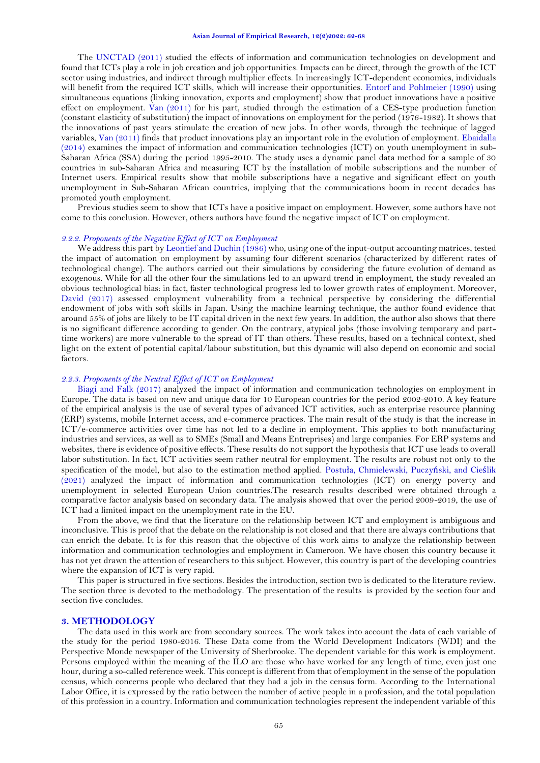The [UNCTAD \(2011\)](#page-6-15) studied the effects of information and communication technologies on development and found that ICTs play a role in job creation and job opportunities. Impacts can be direct, through the growth of the ICT sector using industries, and indirect through multiplier effects. In increasingly ICT-dependent economies, individuals will benefit from the required ICT skills, which will increase their opportunities. [Entorf and Pohlmeier \(1990\)](#page-6-16) using simultaneous equations (linking innovation, exports and employment) show that product innovations have a positive effect on employment. [Van \(2011\)](#page-6-17) for his part, studied through the estimation of a CES-type production function (constant elasticity of substitution) the impact of innovations on employment for the period (1976-1982). It shows that the innovations of past years stimulate the creation of new jobs. In other words, through the technique of lagged variables, [Van \(2011\)](#page-6-17) finds that product innovations play an important role in the evolution of employment. [Ebaidalla](#page-5-4)  [\(2014\)](#page-5-4) examines the impact of information and communication technologies (ICT) on youth unemployment in sub-Saharan Africa (SSA) during the period 1995-2010. The study uses a dynamic panel data method for a sample of 30 countries in sub-Saharan Africa and measuring ICT by the installation of mobile subscriptions and the number of Internet users. Empirical results show that mobile subscriptions have a negative and significant effect on youth unemployment in Sub-Saharan African countries, implying that the communications boom in recent decades has promoted youth employment.

Previous studies seem to show that ICTs have a positive impact on employment. However, some authors have not come to this conclusion. However, others authors have found the negative impact of ICT on employment.

#### *2.2.2. Proponents of the Negative Effect of ICT on Employment*

We address this part by [Leontief and Duchin \(1986\)](#page-6-18) who, using one of the input-output accounting matrices, tested the impact of automation on employment by assuming four different scenarios (characterized by different rates of technological change). The authors carried out their simulations by considering the future evolution of demand as exogenous. While for all the other four the simulations led to an upward trend in employment, the study revealed an obvious technological bias: in fact, faster technological progress led to lower growth rates of employment. Moreover, [David \(2017\)](#page-5-5) assessed employment vulnerability from a technical perspective by considering the differential endowment of jobs with soft skills in Japan. Using the machine learning technique, the author found evidence that around 55% of jobs are likely to be IT capital driven in the next few years. In addition, the author also shows that there is no significant difference according to gender. On the contrary, atypical jobs (those involving temporary and parttime workers) are more vulnerable to the spread of IT than others. These results, based on a technical context, shed light on the extent of potential capital/labour substitution, but this dynamic will also depend on economic and social factors.

#### *2.2.3. Proponents of the Neutral Effect of ICT on Employment*

[Biagi and Falk \(2017\)](#page-5-6) analyzed the impact of information and communication technologies on employment in Europe. The data is based on new and unique data for 10 European countries for the period 2002-2010. A key feature of the empirical analysis is the use of several types of advanced ICT activities, such as enterprise resource planning (ERP) systems, mobile Internet access, and e-commerce practices. The main result of the study is that the increase in ICT/e-commerce activities over time has not led to a decline in employment. This applies to both manufacturing industries and services, as well as to SMEs (Small and Means Entreprises) and large companies. For ERP systems and websites, there is evidence of positive effects. These results do not support the hypothesis that ICT use leads to overall labor substitution. In fact, ICT activities seem rather neutral for employment. The results are robust not only to the specification of the model, but also to the estimation method applied. Postuł[a, Chmielewski, Puczy](#page-6-19)ński, and Cieślik [\(2021\)](#page-6-19) analyzed the impact of information and communication technologies (ICT) on energy poverty and unemployment in selected European Union countries.The research results described were obtained through a comparative factor analysis based on secondary data. The analysis showed that over the period 2009-2019, the use of ICT had a limited impact on the unemployment rate in the EU.

From the above, we find that the literature on the relationship between ICT and employment is ambiguous and inconclusive. This is proof that the debate on the relationship is not closed and that there are always contributions that can enrich the debate. It is for this reason that the objective of this work aims to analyze the relationship between information and communication technologies and employment in Cameroon. We have chosen this country because it has not yet drawn the attention of researchers to this subject. However, this country is part of the developing countries where the expansion of ICT is very rapid.

This paper is structured in five sections. Besides the introduction, section two is dedicated to the literature review. The section three is devoted to the methodology. The presentation of the results is provided by the section four and section five concludes.

# **3. METHODOLOGY**

The data used in this work are from secondary sources. The work takes into account the data of each variable of the study for the period 1980-2016. These Data come from the World Development Indicators (WDI) and the Perspective Monde newspaper of the University of Sherbrooke. The dependent variable for this work is employment. Persons employed within the meaning of the ILO are those who have worked for any length of time, even just one hour, during a so-called reference week. This concept is different from that of employment in the sense of the population census, which concerns people who declared that they had a job in the census form. According to the International Labor Office, it is expressed by the ratio between the number of active people in a profession, and the total population of this profession in a country. Information and communication technologies represent the independent variable of this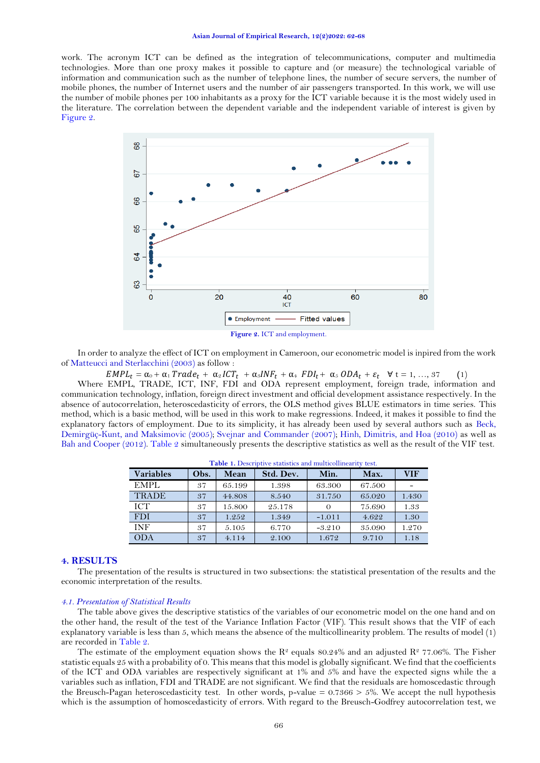work. The acronym ICT can be defined as the integration of telecommunications, computer and multimedia technologies. More than one proxy makes it possible to capture and (or measure) the technological variable of information and communication such as the number of telephone lines, the number of secure servers, the number of mobile phones, the number of Internet users and the number of air passengers transported. In this work, we will use the number of mobile phones per 100 inhabitants as a proxy for the ICT variable because it is the most widely used in the literature. The correlation between the dependent variable and the independent variable of interest is given by [Figure 2.](#page-4-0)



<span id="page-4-0"></span>In order to analyze the effect of ICT on employment in Cameroon, our econometric model is inpired from the work o[f Matteucci and Sterlacchini \(2003\)](#page-6-20) as follow :

 $EMPL_t = \alpha_0 + \alpha_1 Trade_t + \alpha_2 ICT_t + \alpha_3INF_t + \alpha_4 FDI_t + \alpha_5 ODA_t + \varepsilon_t \quad \forall \ t = 1, ..., 37$  (1)

Where EMPL, TRADE, ICT, INF, FDI and ODA represent employment, foreign trade, information and communication technology, inflation, foreign direct investment and official development assistance respectively. In the absence of autocorrelation, heteroscedasticity of errors, the OLS method gives BLUE estimators in time series. This method, which is a basic method, will be used in this work to make regressions. Indeed, it makes it possible to find the explanatory factors of employment. Due to its simplicity, it has already been used by several authors such as [Beck,](#page-5-7)  [Demirgüç-Kunt, and Maksimovic \(2005\)](#page-5-7); [Svejnar and Commander \(2007\)](#page-6-21); [Hinh, Dimitris, and Hoa \(2010\)](#page-6-22) as well as [Bah and Cooper \(2012\)](#page-5-8). [Table 2](#page-5-9) simultaneously presents the descriptive statistics as well as the result of the VIF test.

| <b>Variables</b> | Obs. | Mean   | Std. Dev. | Min.     | Max.   | <b>VIF</b> |  |  |
|------------------|------|--------|-----------|----------|--------|------------|--|--|
| EMPL             | 37   | 65.199 | 1.398     | 63.300   | 67.500 |            |  |  |
| <b>TRADE</b>     | 37   | 44.808 | 8.540     | 31.750   | 65.020 | 1.430      |  |  |
| ICT              | 37   | 15.800 | 25.178    |          | 75.690 | 1.33       |  |  |
| <b>FDI</b>       | 37   | 1.252  | 1.349     | $-1.011$ | 4.622  | 1.30       |  |  |
| <b>INF</b>       | 37   | 5.105  | 6.770     | $-3.210$ | 35.090 | 1.270      |  |  |
| ODA              | 37   | 4.114  | 2.100     | 1.672    | 9.710  | 1.18       |  |  |

**Table 1.** Descriptive statistics and multicollinearity test.

# **4. RESULTS**

The presentation of the results is structured in two subsections: the statistical presentation of the results and the economic interpretation of the results.

#### *4.1. Presentation of Statistical Results*

The table above gives the descriptive statistics of the variables of our econometric model on the one hand and on the other hand, the result of the test of the Variance Inflation Factor (VIF). This result shows that the VIF of each explanatory variable is less than 5, which means the absence of the multicollinearity problem. The results of model (1) are recorded in [Table 2.](#page-5-9)

The estimate of the employment equation shows the  $\mathbb{R}^2$  equals 80.24% and an adjusted  $\mathbb{R}^2$  77.06%. The Fisher statistic equals 25 with a probability of 0. This means that this model is globally significant. We find that the coefficients of the ICT and ODA variables are respectively significant at 1% and 5% and have the expected signs while the a variables such as inflation, FDI and TRADE are not significant. We find that the residuals are homoscedastic through the Breusch-Pagan heteroscedasticity test. In other words, p-value =  $0.7366 > 5\%$ . We accept the null hypothesis which is the assumption of homoscedasticity of errors. With regard to the Breusch-Godfrey autocorrelation test, we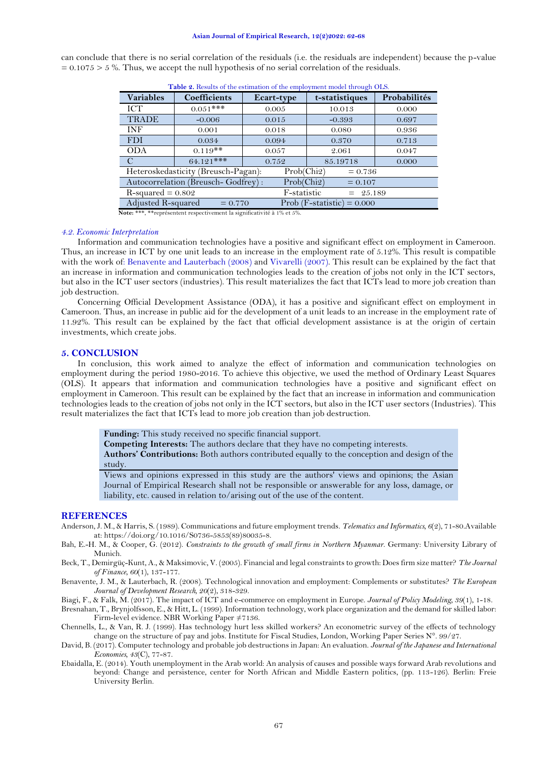#### **Asian Journal of Empirical Research, 12(2)2022: 62-68**

<span id="page-5-9"></span>can conclude that there is no serial correlation of the residuals (i.e. the residuals are independent) because the p-value  $= 0.1075 > 5$ %. Thus, we accept the null hypothesis of no serial correlation of the residuals.

| <b>Table 2.</b> Results of the estimation of the employment model unough OLO. |                     |            |                |              |  |  |  |  |
|-------------------------------------------------------------------------------|---------------------|------------|----------------|--------------|--|--|--|--|
| <b>Variables</b>                                                              | <b>Coefficients</b> | Ecart-type | t-statistiques | Probabilités |  |  |  |  |
| ICT                                                                           | $0.051***$          | 0.005      | 10.013         | 0.000        |  |  |  |  |
| <b>TRADE</b>                                                                  | $-0.006$            | 0.015      | $-0.393$       | 0.697        |  |  |  |  |
| <b>INF</b>                                                                    | 0.001               | 0.018      | 0.080          | 0.936        |  |  |  |  |
| <b>FDI</b>                                                                    | 0.034               | 0.094      | 0.370          | 0.713        |  |  |  |  |
| <b>ODA</b>                                                                    | $0.119$ **          | 0.057      | 2.061          | 0.047        |  |  |  |  |
| C                                                                             | 64.121***           | 0.752      | 85.19718       | 0.000        |  |  |  |  |
| Heteroskedasticity (Breusch-Pagan):<br>Prob(Chi2)<br>$= 0.736$                |                     |            |                |              |  |  |  |  |
| Autocorrelation (Breusch-Godfrey):<br>Prob(Chi2)<br>$= 0.107$                 |                     |            |                |              |  |  |  |  |
| F-statistic<br>$R$ -squared = 0.802<br>$= 25.189$                             |                     |            |                |              |  |  |  |  |
| Adjusted R-squared<br>Prob (F-statistic) = $0.000$<br>$= 0.770$               |                     |            |                |              |  |  |  |  |

**Table 2.** Results of the estimation of the employment model through OLS.

**Note:** \*\*\*, \*\*représentent respectivement la significativité à 1% et 5%.

#### *4.2. Economic Interpretation*

Information and communication technologies have a positive and significant effect on employment in Cameroon. Thus, an increase in ICT by one unit leads to an increase in the employment rate of 5.12%. This result is compatible with the work of: Benavente and Lauterbach (2008) and [Vivarelli \(2007\)](#page-6-8). This result can be explained by the fact that an increase in information and communication technologies leads to the creation of jobs not only in the ICT sectors, but also in the ICT user sectors (industries). This result materializes the fact that ICTs lead to more job creation than job destruction.

Concerning Official Development Assistance (ODA), it has a positive and significant effect on employment in Cameroon. Thus, an increase in public aid for the development of a unit leads to an increase in the employment rate of 11.92%. This result can be explained by the fact that official development assistance is at the origin of certain investments, which create jobs.

#### **5. CONCLUSION**

In conclusion, this work aimed to analyze the effect of information and communication technologies on employment during the period 1980-2016. To achieve this objective, we used the method of Ordinary Least Squares (OLS). It appears that information and communication technologies have a positive and significant effect on employment in Cameroon. This result can be explained by the fact that an increase in information and communication technologies leads to the creation of jobs not only in the ICT sectors, but also in the ICT user sectors (Industries). This result materializes the fact that ICTs lead to more job creation than job destruction.

**Funding:** This study received no specific financial support.

**Competing Interests:** The authors declare that they have no competing interests.

**Authors' Contributions:** Both authors contributed equally to the conception and design of the study.

Views and opinions expressed in this study are the authors' views and opinions; the Asian Journal of Empirical Research shall not be responsible or answerable for any loss, damage, or liability, etc. caused in relation to/arising out of the use of the content.

# **REFERENCES**

- <span id="page-5-2"></span>Anderson, J. M., & Harris, S. (1989). Communications and future employment trends. *Telematics and Informatics, 6*(2), 71-80.Available at: https://doi.org/10.1016/S0736-5853(89)80035-8.
- <span id="page-5-8"></span>Bah, E.-H. M., & Cooper, G. (2012). *Constraints to the growth of small firms in Northern Myanmar*. Germany: University Library of Munich.
- <span id="page-5-7"></span>Beck, T., Demirgüç-Kunt, A., & Maksimovic, V. (2005). Financial and legal constraints to growth: Does firm size matter? *The Journal of Finance, 60*(1), 137-177.
- <span id="page-5-3"></span>Benavente, J. M., & Lauterbach, R. (2008). Technological innovation and employment: Complements or substitutes? *The European Journal of Development Research, 20*(2), 318-329.
- <span id="page-5-6"></span>Biagi, F., & Falk, M. (2017). The impact of ICT and e-commerce on employment in Europe. *Journal of Policy Modeling, 39*(1), 1-18.
- <span id="page-5-0"></span>Bresnahan, T., Brynjolfsson, E., & Hitt, L. (1999). Information technology, work place organization and the demand for skilled labor: Firm-level evidence. NBR Working Paper ≠7136.
- <span id="page-5-1"></span>Chennells, L., & Van, R. J. (1999). Has technology hurt less skilled workers? An econometric survey of the effects of technology change on the structure of pay and jobs. Institute for Fiscal Studies, London, Working Paper Series N°. 99/27.
- <span id="page-5-5"></span>David, B. (2017). Computer technology and probable job destructions in Japan: An evaluation. *Journal of the Japanese and International Economies, 43*(C), 77-87.
- <span id="page-5-4"></span>Ebaidalla, E. (2014). Youth unemployment in the Arab world: An analysis of causes and possible ways forward Arab revolutions and beyond: Change and persistence, center for North African and Middle Eastern politics, (pp. 113-126). Berlin: Freie University Berlin.